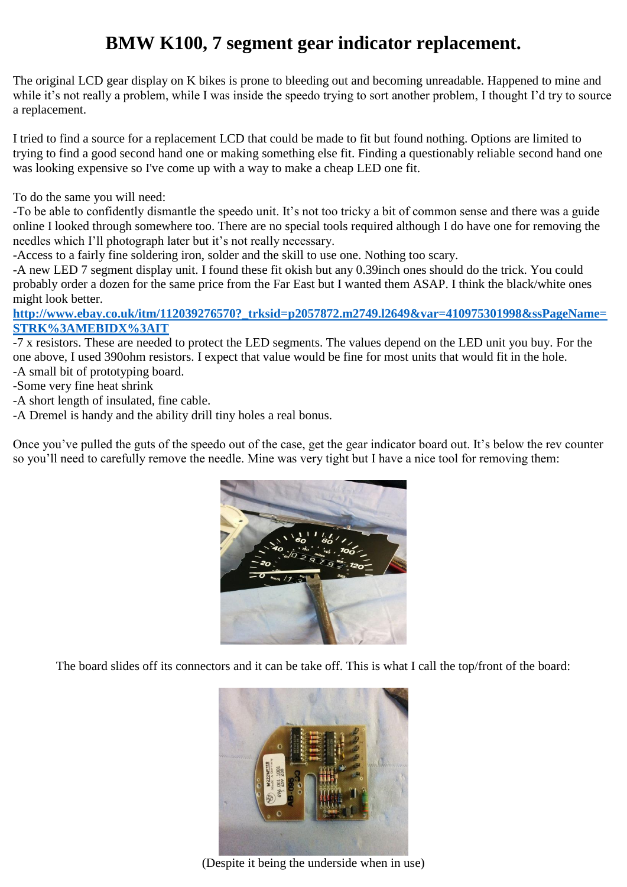## **BMW K100, 7 segment gear indicator replacement.**

The original LCD gear display on K bikes is prone to bleeding out and becoming unreadable. Happened to mine and while it's not really a problem, while I was inside the speedo trying to sort another problem, I thought I'd try to source a replacement.

I tried to find a source for a replacement LCD that could be made to fit but found nothing. Options are limited to trying to find a good second hand one or making something else fit. Finding a questionably reliable second hand one was looking expensive so I've come up with a way to make a cheap LED one fit.

To do the same you will need:

-To be able to confidently dismantle the speedo unit. It's not too tricky a bit of common sense and there was a guide online I looked through somewhere too. There are no special tools required although I do have one for removing the needles which I'll photograph later but it's not really necessary.

-Access to a fairly fine soldering iron, solder and the skill to use one. Nothing too scary.

-A new LED 7 segment display unit. I found these fit okish but any 0.39inch ones should do the trick. You could probably order a dozen for the same price from the Far East but I wanted them ASAP. I think the black/white ones might look better.

## **[http://www.ebay.co.uk/itm/112039276570?\\_trksid=p2057872.m2749.l2649&var=410975301998&ssPageName=](http://www.ebay.co.uk/itm/112039276570?_trksid=p2057872.m2749.l2649&var=410975301998&ssPageName=STRK%3AMEBIDX%3AIT) [STRK%3AMEBIDX%3AIT](http://www.ebay.co.uk/itm/112039276570?_trksid=p2057872.m2749.l2649&var=410975301998&ssPageName=STRK%3AMEBIDX%3AIT)**

-7 x resistors. These are needed to protect the LED segments. The values depend on the LED unit you buy. For the one above, I used 390ohm resistors. I expect that value would be fine for most units that would fit in the hole.

-A small bit of prototyping board.

-Some very fine heat shrink

-A short length of insulated, fine cable.

-A Dremel is handy and the ability drill tiny holes a real bonus.

Once you've pulled the guts of the speedo out of the case, get the gear indicator board out. It's below the rev counter so you'll need to carefully remove the needle. Mine was very tight but I have a nice tool for removing them:



The board slides off its connectors and it can be take off. This is what I call the top/front of the board:



(Despite it being the underside when in use)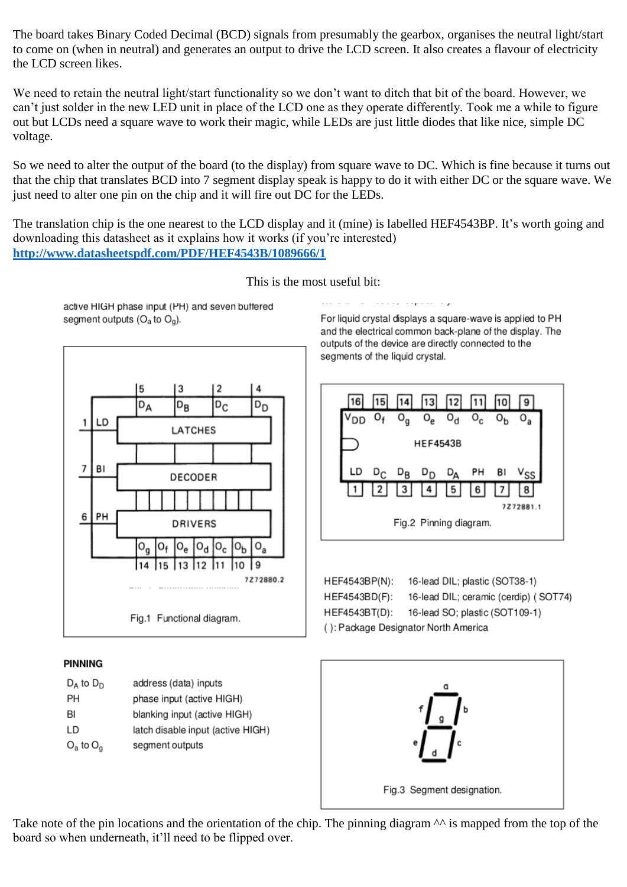The board takes Binary Coded Decimal (BCD) signals from presumably the gearbox, organises the neutral light/start to come on (when in neutral) and generates an output to drive the LCD screen. It also creates a flavour of electricity the LCD screen likes.

We need to retain the neutral light/start functionality so we don't want to ditch that bit of the board. However, we can't just solder in the new LED unit in place of the LCD one as they operate differently. Took me a while to figure out but LCDs need a square wave to work their magic, while LEDs are just little diodes that like nice, simple DC voltage.

So we need to alter the output of the board (to the display) from square wave to DC. Which is fine because it turns out that the chip that translates BCD into 7 segment display speak is happy to do it with either DC or the square wave. We just need to alter one pin on the chip and it will fire out DC for the LEDs.

The translation chip is the one nearest to the LCD display and it (mine) is labelled HEF4543BP. It's worth going and downloading this datasheet as it explains how it works (if you're interested) **<http://www.datasheetspdf.com/PDF/HEF4543B/1089666/1>**

This is the most useful bit:

active HIGH phase input (PH) and seven buffered segment outputs  $(O_a$  to  $O_a)$ .



## **PINNING**

| $D_A$ to $D_D$ | address (data) inputs             |
|----------------|-----------------------------------|
| PН             | phase input (active HIGH)         |
| BI             | blanking input (active HIGH)      |
| LD             | latch disable input (active HIGH) |
| $O_a$ to $O_a$ | segment outputs                   |

For liquid crystal displays a square-wave is applied to PH and the electrical common back-plane of the display. The outputs of the device are directly connected to the segments of the liquid crystal.



| HEF4543BP(N):                        | 16-lead DIL; plastic (SOT38-1)        |
|--------------------------------------|---------------------------------------|
| HEF4543BD(F):                        | 16-lead DIL; ceramic (cerdip) (SOT74) |
| HEF4543BT(D):                        | 16-lead SO; plastic (SOT109-1)        |
| (): Package Designator North America |                                       |



Take note of the pin locations and the orientation of the chip. The pinning diagram  $\wedge\wedge$  is mapped from the top of the board so when underneath, it'll need to be flipped over.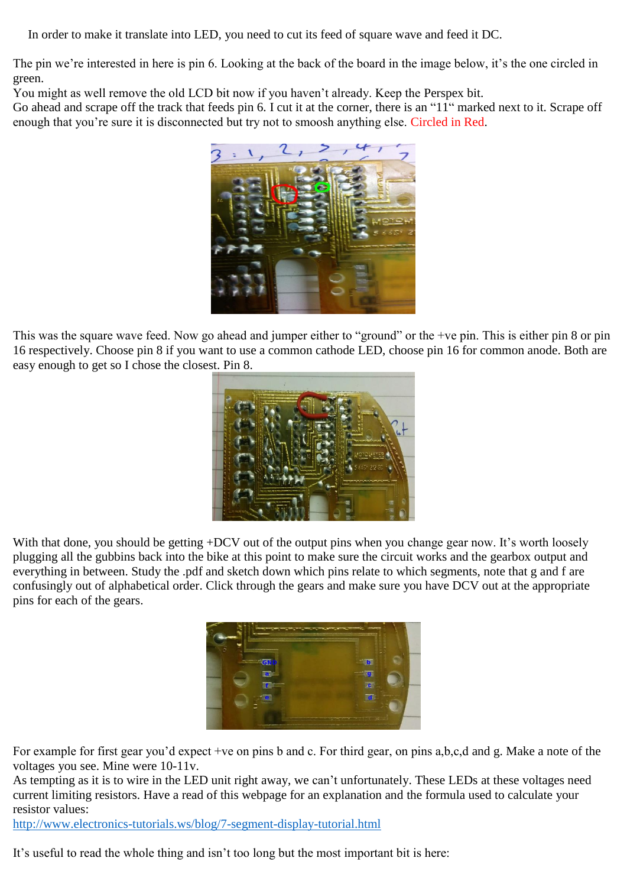In order to make it translate into LED, you need to cut its feed of square wave and feed it DC.

The pin we're interested in here is pin 6. Looking at the back of the board in the image below, it's the one circled in green.

You might as well remove the old LCD bit now if you haven't already. Keep the Perspex bit.

Go ahead and scrape off the track that feeds pin 6. I cut it at the corner, there is an "11" marked next to it. Scrape off enough that you're sure it is disconnected but try not to smoosh anything else. Circled in Red.



This was the square wave feed. Now go ahead and jumper either to "ground" or the +ve pin. This is either pin 8 or pin 16 respectively. Choose pin 8 if you want to use a common cathode LED, choose pin 16 for common anode. Both are easy enough to get so I chose the closest. Pin 8.



With that done, you should be getting +DCV out of the output pins when you change gear now. It's worth loosely plugging all the gubbins back into the bike at this point to make sure the circuit works and the gearbox output and everything in between. Study the .pdf and sketch down which pins relate to which segments, note that g and f are confusingly out of alphabetical order. Click through the gears and make sure you have DCV out at the appropriate pins for each of the gears.



For example for first gear you'd expect +ve on pins b and c. For third gear, on pins a,b,c,d and g. Make a note of the voltages you see. Mine were 10-11v.

As tempting as it is to wire in the LED unit right away, we can't unfortunately. These LEDs at these voltages need current limiting resistors. Have a read of this webpage for an explanation and the formula used to calculate your resistor values:

<http://www.electronics-tutorials.ws/blog/7-segment-display-tutorial.html>

It's useful to read the whole thing and isn't too long but the most important bit is here: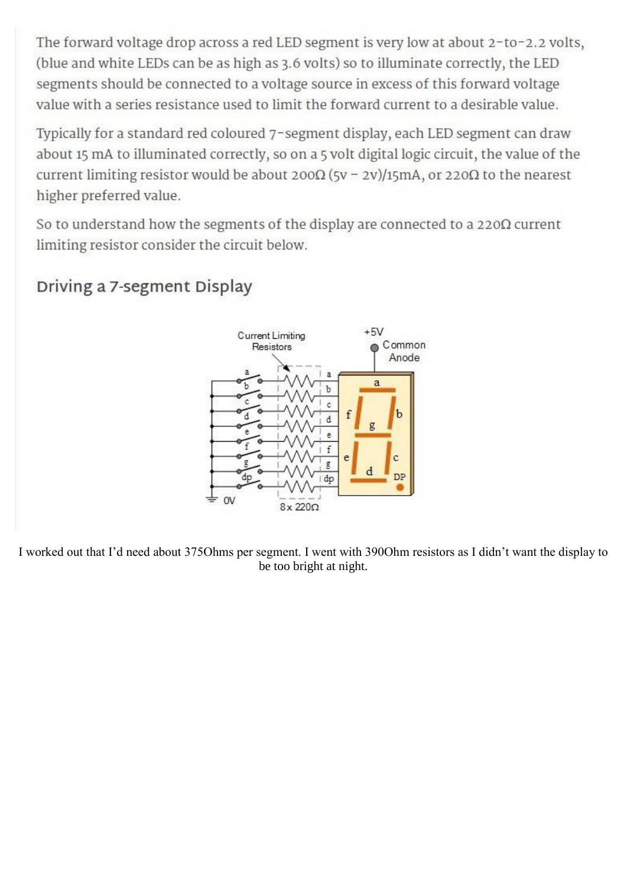The forward voltage drop across a red LED segment is very low at about 2-to-2.2 volts, (blue and white LEDs can be as high as 3.6 volts) so to illuminate correctly, the LED segments should be connected to a voltage source in excess of this forward voltage value with a series resistance used to limit the forward current to a desirable value.

Typically for a standard red coloured 7-segment display, each LED segment can draw about 15 mA to illuminated correctly, so on a 5 volt digital logic circuit, the value of the current limiting resistor would be about 200 $\Omega$  (5v - 2v)/15mA, or 220 $\Omega$  to the nearest higher preferred value.

So to understand how the segments of the display are connected to a  $220\Omega$  current limiting resistor consider the circuit below.



## Driving a 7-segment Display

I worked out that I'd need about 375Ohms per segment. I went with 390Ohm resistors as I didn't want the display to be too bright at night.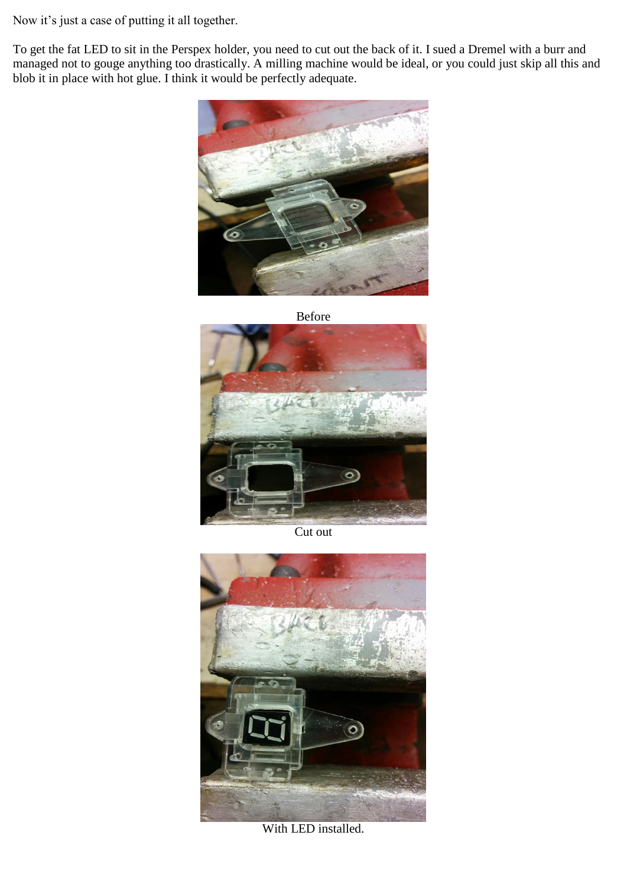Now it's just a case of putting it all together.

To get the fat LED to sit in the Perspex holder, you need to cut out the back of it. I sued a Dremel with a burr and managed not to gouge anything too drastically. A milling machine would be ideal, or you could just skip all this and blob it in place with hot glue. I think it would be perfectly adequate.



Before



Cut out



With LED installed.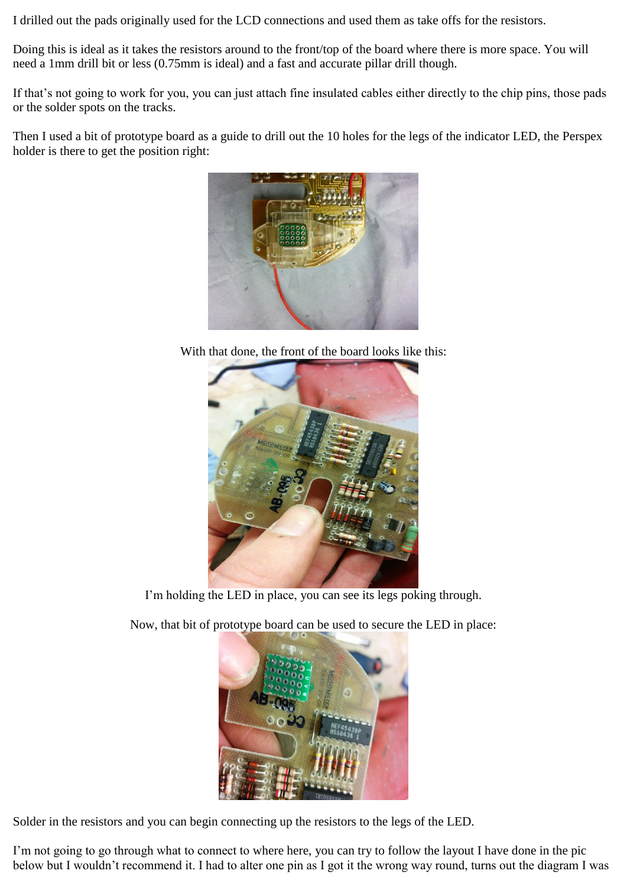I drilled out the pads originally used for the LCD connections and used them as take offs for the resistors.

Doing this is ideal as it takes the resistors around to the front/top of the board where there is more space. You will need a 1mm drill bit or less (0.75mm is ideal) and a fast and accurate pillar drill though.

If that's not going to work for you, you can just attach fine insulated cables either directly to the chip pins, those pads or the solder spots on the tracks.

Then I used a bit of prototype board as a guide to drill out the 10 holes for the legs of the indicator LED, the Perspex holder is there to get the position right:



With that done, the front of the board looks like this:



I'm holding the LED in place, you can see its legs poking through.

Now, that bit of prototype board can be used to secure the LED in place:



Solder in the resistors and you can begin connecting up the resistors to the legs of the LED.

I'm not going to go through what to connect to where here, you can try to follow the layout I have done in the pic below but I wouldn't recommend it. I had to alter one pin as I got it the wrong way round, turns out the diagram I was